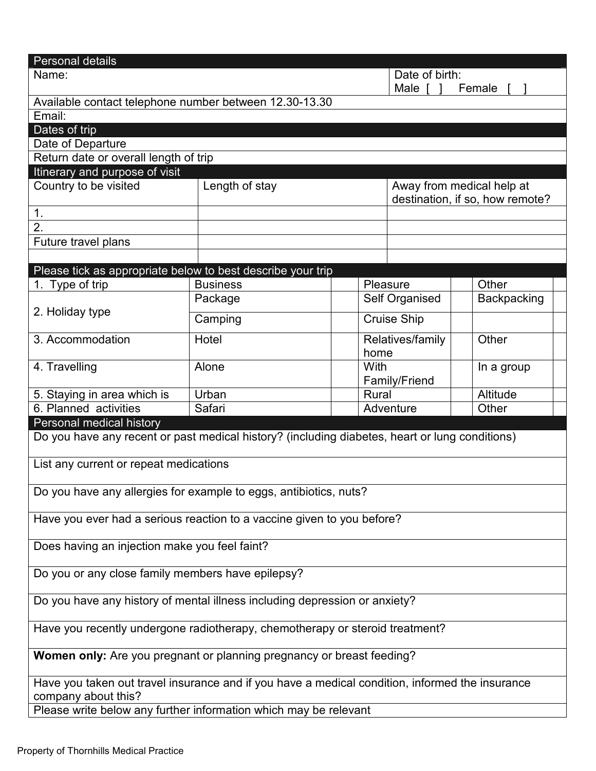| Personal details                                                                                |                                                                                                |      |                                 |  |             |  |
|-------------------------------------------------------------------------------------------------|------------------------------------------------------------------------------------------------|------|---------------------------------|--|-------------|--|
| Date of birth:<br>Name:                                                                         |                                                                                                |      |                                 |  |             |  |
| Male [<br>Female                                                                                |                                                                                                |      |                                 |  |             |  |
| Available contact telephone number between 12.30-13.30                                          |                                                                                                |      |                                 |  |             |  |
| Email:                                                                                          |                                                                                                |      |                                 |  |             |  |
| Dates of trip                                                                                   |                                                                                                |      |                                 |  |             |  |
| Date of Departure                                                                               |                                                                                                |      |                                 |  |             |  |
| Return date or overall length of trip                                                           |                                                                                                |      |                                 |  |             |  |
| Itinerary and purpose of visit                                                                  |                                                                                                |      |                                 |  |             |  |
| Country to be visited                                                                           | Length of stay                                                                                 |      | Away from medical help at       |  |             |  |
|                                                                                                 |                                                                                                |      | destination, if so, how remote? |  |             |  |
| 1 <sub>1</sub>                                                                                  |                                                                                                |      |                                 |  |             |  |
| 2.                                                                                              |                                                                                                |      |                                 |  |             |  |
| Future travel plans                                                                             |                                                                                                |      |                                 |  |             |  |
|                                                                                                 |                                                                                                |      |                                 |  |             |  |
| Please tick as appropriate below to best describe your trip                                     |                                                                                                |      |                                 |  |             |  |
| 1. Type of trip                                                                                 | <b>Business</b>                                                                                |      | Pleasure                        |  | Other       |  |
|                                                                                                 | Package                                                                                        |      | Self Organised                  |  | Backpacking |  |
| 2. Holiday type                                                                                 | Camping                                                                                        |      | <b>Cruise Ship</b>              |  |             |  |
|                                                                                                 |                                                                                                |      |                                 |  |             |  |
| 3. Accommodation                                                                                | Hotel                                                                                          |      | Relatives/family                |  | Other       |  |
|                                                                                                 |                                                                                                | home |                                 |  |             |  |
| 4. Travelling                                                                                   | Alone                                                                                          | With |                                 |  | In a group  |  |
|                                                                                                 |                                                                                                |      | Family/Friend                   |  |             |  |
| 5. Staying in area which is                                                                     | Urban                                                                                          |      | Rural                           |  | Altitude    |  |
| 6. Planned activities                                                                           | Safari                                                                                         |      | Adventure                       |  | Other       |  |
| Personal medical history                                                                        |                                                                                                |      |                                 |  |             |  |
|                                                                                                 | Do you have any recent or past medical history? (including diabetes, heart or lung conditions) |      |                                 |  |             |  |
|                                                                                                 |                                                                                                |      |                                 |  |             |  |
| List any current or repeat medications                                                          |                                                                                                |      |                                 |  |             |  |
|                                                                                                 |                                                                                                |      |                                 |  |             |  |
|                                                                                                 | Do you have any allergies for example to eggs, antibiotics, nuts?                              |      |                                 |  |             |  |
|                                                                                                 |                                                                                                |      |                                 |  |             |  |
|                                                                                                 | Have you ever had a serious reaction to a vaccine given to you before?                         |      |                                 |  |             |  |
|                                                                                                 |                                                                                                |      |                                 |  |             |  |
| Does having an injection make you feel faint?                                                   |                                                                                                |      |                                 |  |             |  |
|                                                                                                 |                                                                                                |      |                                 |  |             |  |
| Do you or any close family members have epilepsy?                                               |                                                                                                |      |                                 |  |             |  |
|                                                                                                 |                                                                                                |      |                                 |  |             |  |
| Do you have any history of mental illness including depression or anxiety?                      |                                                                                                |      |                                 |  |             |  |
|                                                                                                 |                                                                                                |      |                                 |  |             |  |
| Have you recently undergone radiotherapy, chemotherapy or steroid treatment?                    |                                                                                                |      |                                 |  |             |  |
|                                                                                                 |                                                                                                |      |                                 |  |             |  |
| Women only: Are you pregnant or planning pregnancy or breast feeding?                           |                                                                                                |      |                                 |  |             |  |
| Have you taken out travel insurance and if you have a medical condition, informed the insurance |                                                                                                |      |                                 |  |             |  |
| company about this?                                                                             |                                                                                                |      |                                 |  |             |  |
|                                                                                                 |                                                                                                |      |                                 |  |             |  |
|                                                                                                 | Please write below any further information which may be relevant                               |      |                                 |  |             |  |